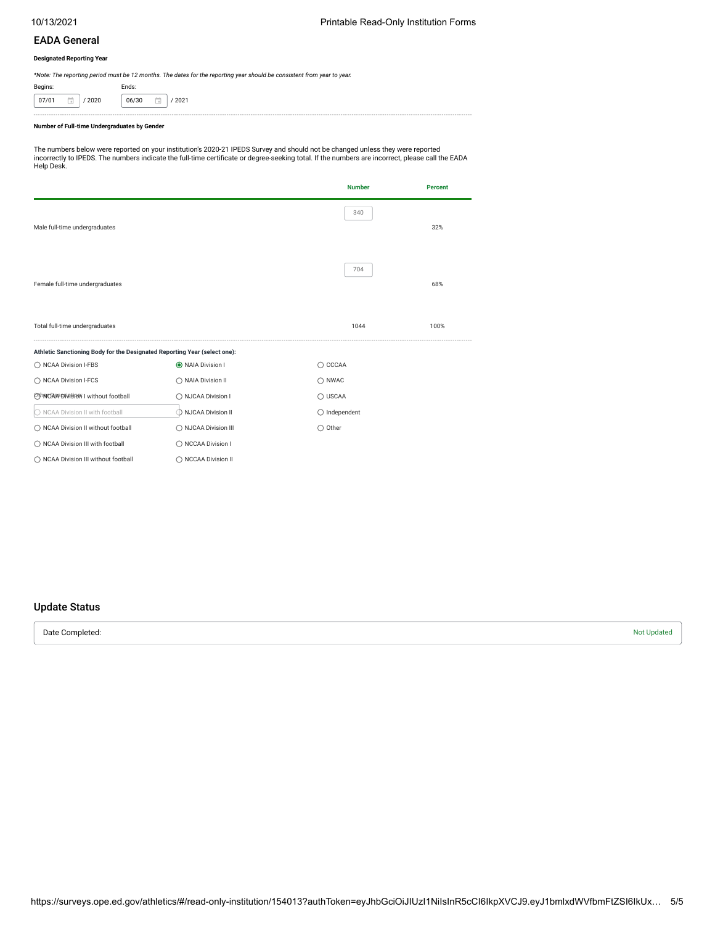## EADA General

#### **Designated Reporting Year**

*\*Note: The reporting period must be 12 months. The dates for the reporting year should be consistent from year to year.*

| Begins: |             | Ends:                 |        |  |  |  |  |  |
|---------|-------------|-----------------------|--------|--|--|--|--|--|
| 07/01   | / 2020<br>× | 06/30<br>$\mathbf{u}$ | / 2021 |  |  |  |  |  |

#### **Number of Full-time Undergraduates by Gender**

The numbers below were reported on your institution's 2020-21 IPEDS Survey and should not be changed unless they were reported<br>incorrectly to IPEDS. The numbers indicate the full-time certificate or degree-seeking total. I Help Desk.

|                                                                           |                      | <b>Number</b>          | <b>Percent</b> |
|---------------------------------------------------------------------------|----------------------|------------------------|----------------|
| Male full-time undergraduates                                             |                      | 340                    | 32%            |
| Female full-time undergraduates                                           |                      | 704                    | 68%            |
| Total full-time undergraduates                                            |                      | 1044                   | 100%           |
| Athletic Sanctioning Body for the Designated Reporting Year (select one): |                      |                        |                |
| ◯ NCAA Division I-FBS                                                     | O NAIA Division I    | $\bigcirc$ CCCAA       |                |
| ◯ NCAA Division I-FCS                                                     | ◯ NAIA Division II   | $\bigcirc$ NWAC        |                |
| OhnCAPPDivision I without football                                        | ◯ NJCAA Division I   | $\bigcirc$ USCAA       |                |
| ○ NCAA Division II with football                                          | NJCAA Division II    | $\bigcirc$ Independent |                |
| ◯ NCAA Division II without football                                       | ◯ NJCAA Division III | $\bigcirc$ Other       |                |
| ◯ NCAA Division III with football                                         | ◯ NCCAA Division I   |                        |                |
| ◯ NCAA Division III without football                                      | ◯ NCCAA Division II  |                        |                |

## Update Status

Date Completed: Not Updated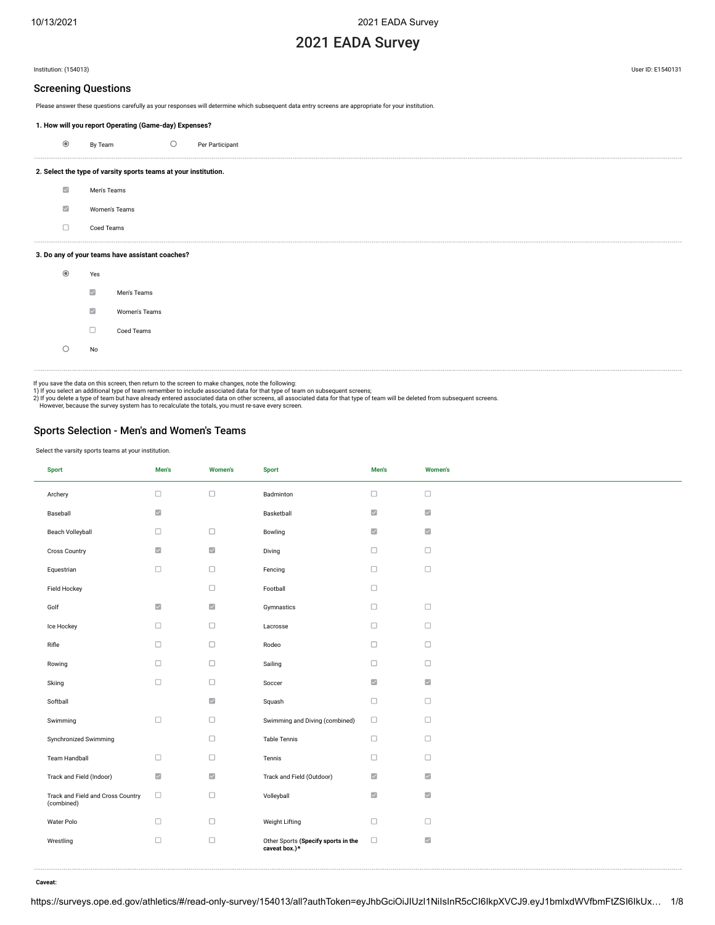# 2021 EADA Survey

Institution: (154013) User ID: E1540131

### Screening Questions

Please answer these questions carefully as your responses will determine which subsequent data entry screens are appropriate for your institution.

| 1. How will you report Operating (Game-day) Expenses? |  |
|-------------------------------------------------------|--|
|-------------------------------------------------------|--|

| ◉ | By Team | Per Participant |
|---|---------|-----------------|

### **2. Select the type of varsity sports teams at your institution.**

- $\overline{\mathbb{R}^2}$ Men's Teams  $\overline{\mathbb{M}}$ Women's Teams
- $\Box$ Coed Teams

#### **3. Do any of your teams have assistant coaches?**



If you save the data on this screen, then return to the screen to make changes, note the following:

1) If you select an additional type of team remember to include associated data for that type of team on subsequent screens;<br>2) If you delete a type of team but have already entered associated data on other screens, all as

However, because the survey system has to recalculate the totals, you must re-save every screen.

## Sports Selection - Men's and Women's Teams

Select the varsity sports teams at your institution.

| <b>Sport</b>                                    | Men's               | <b>Women's</b>           | <b>Sport</b>                                         | Men's                    | <b>Women's</b>           |
|-------------------------------------------------|---------------------|--------------------------|------------------------------------------------------|--------------------------|--------------------------|
| Archery                                         | $\Box$              | $\Box$                   | Badminton                                            | $\Box$                   | $\Box$                   |
| Baseball                                        | $\overline{\smile}$ |                          | Basketball                                           | $\overline{\mathcal{L}}$ | $\overline{\phantom{a}}$ |
| Beach Volleyball                                | $\Box$              | $\Box$                   | Bowling                                              | $\overline{\mathcal{L}}$ | $\overline{\mathbb{Z}}$  |
| Cross Country                                   | $\overline{\smile}$ | $\overline{\mathcal{L}}$ | Diving                                               | $\Box$                   | $\Box$                   |
| Equestrian                                      | $\Box$              | $\Box$                   | Fencing                                              | $\Box$                   | $\Box$                   |
| Field Hockey                                    |                     | $\Box$                   | Football                                             | $\Box$                   |                          |
| Golf                                            | $\overline{\smile}$ | $\overline{\mathcal{L}}$ | Gymnastics                                           | $\Box$                   | $\Box$                   |
| Ice Hockey                                      | $\Box$              | $\Box$                   | Lacrosse                                             | $\Box$                   | $\Box$                   |
| Rifle                                           | $\Box$              | $\Box$                   | Rodeo                                                | $\Box$                   | $\Box$                   |
| Rowing                                          | $\Box$              | $\Box$                   | Sailing                                              | $\Box$                   | $\Box$                   |
| Skiing                                          | $\Box$              | $\Box$                   | Soccer                                               | $\overline{\mathcal{L}}$ | $\overline{\phantom{a}}$ |
| Softball                                        |                     | $\overline{\mathcal{L}}$ | Squash                                               | $\Box$                   | $\Box$                   |
| Swimming                                        | $\Box$              | $\Box$                   | Swimming and Diving (combined)                       | $\Box$                   | $\Box$                   |
| Synchronized Swimming                           |                     | $\Box$                   | <b>Table Tennis</b>                                  | $\Box$                   | $\Box$                   |
| Team Handball                                   | $\Box$              | $\Box$                   | Tennis                                               | $\Box$                   | $\Box$                   |
| Track and Field (Indoor)                        | $\overline{\smile}$ | $\overline{\mathscr{L}}$ | Track and Field (Outdoor)                            | $\overline{\phantom{a}}$ | $\overline{\mathbb{Z}}$  |
| Track and Field and Cross Country<br>(combined) | $\Box$              | $\Box$                   | Volleyball                                           | $\overline{\mathbb{Z}}$  | $\overline{\mathbb{Z}}$  |
| Water Polo                                      | $\Box$              | $\Box$                   | Weight Lifting                                       | $\Box$                   | $\Box$                   |
| Wrestling                                       | $\Box$              | $\Box$                   | Other Sports (Specify sports in the<br>caveat box.)* | $\Box$                   | $\overline{\phantom{a}}$ |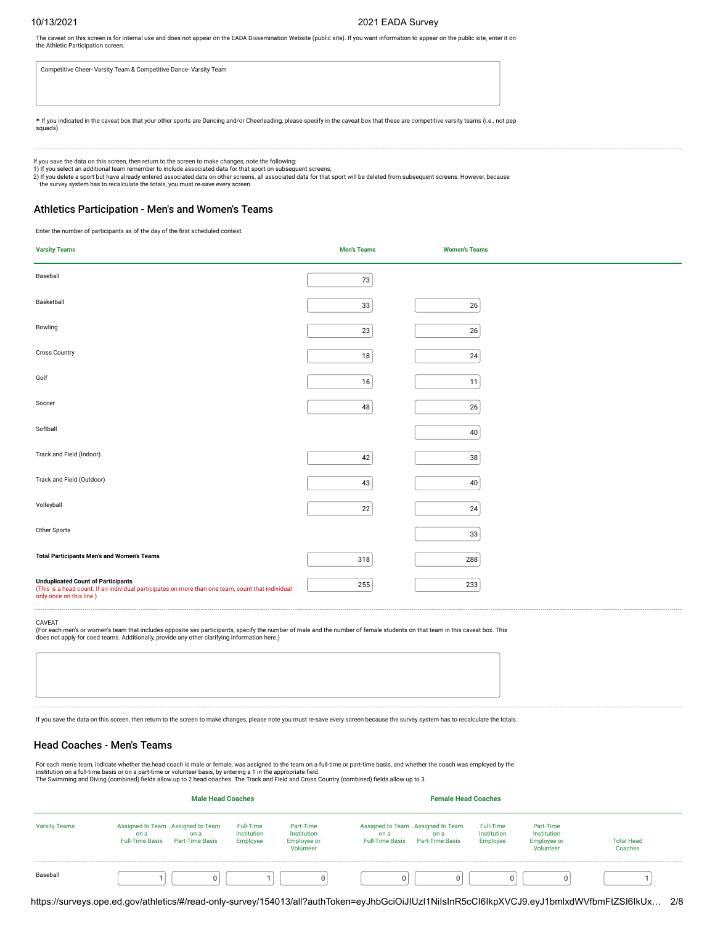#### 10/13/2021 2021 EADA Survey

The caveat on this screen is for internal use and does not appear on the EADA Dissemination Website (public site). If you want information to appear on the public site, enter it on the Athletic Participation screen.

Competitive Cheer- Varsity Team & Competitive Dance- Varsity Team

**\*** If you indicated in the caveat box that your other sports are Dancing and/or Cheerleading, please specify in the caveat box that these are competitive varsity teams (i.e., not pep squads).

If you save the data on this screen, then return to the screen to make changes, note the following:

1) If you select an additional team remember to include associated data for that sport on subsequent screens;<br>2) If you delete a sport but have already entered associated data on other screens, all associated data for that the survey system has to recalculate the totals, you must re-save every screen.

#### Athletics Participation - Men's and Women's Teams

Enter the number of participants as of the day of the first scheduled contest.

| <b>Varsity Teams</b>                                                                                                                                                | <b>Men's Teams</b> | <b>Women's Teams</b> |
|---------------------------------------------------------------------------------------------------------------------------------------------------------------------|--------------------|----------------------|
| Baseball                                                                                                                                                            | 73                 |                      |
| Basketball                                                                                                                                                          | 33                 | 26                   |
| Bowling                                                                                                                                                             | 23                 | 26                   |
| Cross Country                                                                                                                                                       | $18\,$             | 24                   |
| Golf                                                                                                                                                                | $16\,$             | 11                   |
| Soccer                                                                                                                                                              | 48                 | 26                   |
| Softball                                                                                                                                                            |                    | 40                   |
| Track and Field (Indoor)                                                                                                                                            | 42                 | 38                   |
| Track and Field (Outdoor)                                                                                                                                           | 43                 | 40                   |
| Volleyball                                                                                                                                                          | $22\,$             | 24                   |
| Other Sports                                                                                                                                                        |                    | $33\,$               |
| <b>Total Participants Men's and Women's Teams</b>                                                                                                                   | 318                | 288                  |
| Unduplicated Count of Participants<br>(This is a head count. If an individual participates on more than one team, count that individual<br>only once on this line.) | 255                | 233                  |

CAVEAT

(For each men's or women's team that includes opposite sex participants, specify the number of male and the number of female students on that team in this caveat box. This does not apply for coed teams. Additionally, provide any other clarifying information here.)

If you save the data on this screen, then return to the screen to make changes, please note you must re-save every screen because the survey system has to recalculate the totals.

## Head Coaches - Men's Teams

For each men's team, indicate whether the head coach is male or female, was assigned to the team on a full-time or part-time basis, and whether the coach was employed by the<br>institution on a full-time basis or on a part-ti

|                      | <b>Male Head Coaches</b>       |                                                              |                                      |                                                             |                                |                                                                     |                                             |                                                             |                                                                                                                                                |  |
|----------------------|--------------------------------|--------------------------------------------------------------|--------------------------------------|-------------------------------------------------------------|--------------------------------|---------------------------------------------------------------------|---------------------------------------------|-------------------------------------------------------------|------------------------------------------------------------------------------------------------------------------------------------------------|--|
| <b>Varsity Teams</b> | on a<br><b>Full-Time Basis</b> | Assigned to Team Assigned to Team<br>on a<br>Part-Time Basis | Full-Time<br>Institution<br>Employee | Part-Time<br>Institution<br><b>Employee or</b><br>Volunteer | on a<br><b>Full-Time Basis</b> | Assigned to Team Assigned to Team<br>on a<br><b>Part-Time Basis</b> | <b>Full-Time</b><br>Institution<br>Employee | Part-Time<br>Institution<br><b>Employee or</b><br>Volunteer | <b>Total Head</b><br>Coaches                                                                                                                   |  |
| Baseball             |                                | $\Omega$                                                     |                                      | 0                                                           | $\Omega$                       | $\Omega$                                                            | $\Omega$                                    |                                                             |                                                                                                                                                |  |
|                      |                                |                                                              |                                      |                                                             |                                |                                                                     |                                             |                                                             | https://surveys.ope.ed.gov/athletics/#/read-only-survey/154013/all?authToken=eyJhbGciOiJIUzI1NilsInR5cCl6lkpXVCJ9.eyJ1bmlxdWVfbmFtZSl6lkUx 2/8 |  |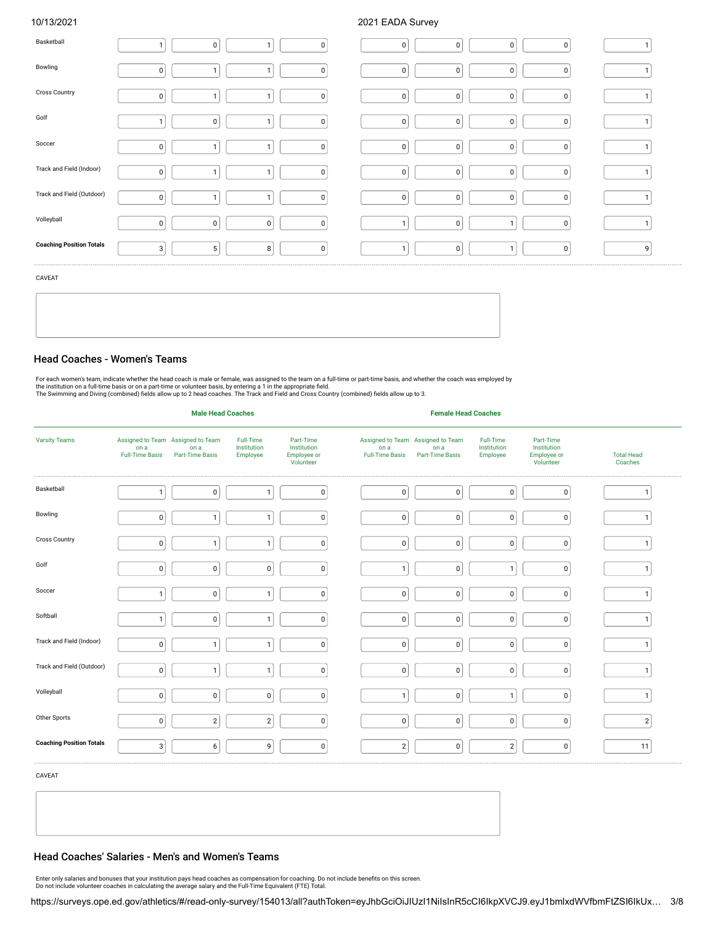10/13/2021 2021 EADA Survey

| Basketball                      | $\mathbf{1}$   | $\mathbf 0$    | 1              | $\overline{0}$ | 0              | 0           | 0 <sup>1</sup> | $\mathbf 0$ | $\mathbf{I}$ |
|---------------------------------|----------------|----------------|----------------|----------------|----------------|-------------|----------------|-------------|--------------|
| Bowling                         | $\pmb{0}$      |                | $\mathbf{1}$   | $\mathbf 0$    | $\pmb{0}$      | $\mathbf 0$ | 0 <sup>1</sup> | $\mathbf 0$ |              |
| <b>Cross Country</b>            | $\pmb{0}$      | <sub>1</sub>   | -1             | $\mathbf 0$    | $\pmb{0}$      | $\mathbf 0$ | 0              | $\pmb{0}$   |              |
| Golf                            | $\mathbf{1}$   | $\mathsf 0$    | $\overline{1}$ | $\overline{0}$ | $\mathbf 0$    | $\mathbf 0$ | 0              | $\pmb{0}$   | $\mathbf{1}$ |
| Soccer                          | $\mathbf 0$    |                | $\mathbf{1}$   | $\overline{0}$ | $\overline{0}$ | 0           | 0 <sup>1</sup> | $\mathbf 0$ | $\mathbf{1}$ |
| Track and Field (Indoor)        | $\pmb{0}$      |                | $\mathbf{1}$   | $\mathbf 0$    | $\pmb{0}$      | $\pmb{0}$   | 0              | 0           | $\mathbf{1}$ |
| Track and Field (Outdoor)       | $\pmb{0}$      |                | 1              | $\mathbf 0$    | $\pmb{0}$      | $\pmb{0}$   | 0              | 0           | $\mathbf{1}$ |
| Volleyball                      | $\overline{0}$ | 0              | $\mathbf 0$    | $\overline{0}$ | $\mathbf{1}$   | $\pmb{0}$   | $\mathbf{1}$   | $\mathbf 0$ | $\mathbf{1}$ |
| <b>Coaching Position Totals</b> | 3              | 5 <sup>5</sup> | 8 <sup>1</sup> | $\overline{0}$ | $\mathbf{1}$   | $\mathbf 0$ | $\mathbf{1}$   | $\mathbf 0$ | 9            |

CAVEAT

## Head Coaches - Women's Teams

For each women's team, indicate whether the head coach is male or female, was assigned to the team on a full-time or part-time basis, and whether the coach was employed by<br>the institution on a full-time basis or on a part-

|                                 |                                                                     | <b>Male Head Coaches</b>       |                                      |                                                             | <b>Female Head Coaches</b>     |                                                              |                                      |                                                             |                              |
|---------------------------------|---------------------------------------------------------------------|--------------------------------|--------------------------------------|-------------------------------------------------------------|--------------------------------|--------------------------------------------------------------|--------------------------------------|-------------------------------------------------------------|------------------------------|
| <b>Varsity Teams</b>            | Assigned to Team Assigned to Team<br>on a<br><b>Full-Time Basis</b> | on a<br><b>Part-Time Basis</b> | Full-Time<br>Institution<br>Employee | Part-Time<br>Institution<br><b>Employee or</b><br>Volunteer | on a<br><b>Full-Time Basis</b> | Assigned to Team Assigned to Team<br>on a<br>Part-Time Basis | Full-Time<br>Institution<br>Employee | Part-Time<br>Institution<br><b>Employee or</b><br>Volunteer | <b>Total Head</b><br>Coaches |
| Basketball                      | $\mathbf{1}$                                                        | $\mathbf 0$                    | $\mathbf{1}$                         | 0                                                           | $\mathbf 0$                    | $\overline{0}$                                               | 0                                    | 0                                                           | 1                            |
| Bowling                         | $\pmb{0}$                                                           | f                              | $\mathbf{1}$                         | $\mathbf 0$                                                 | $\mathbf 0$                    | $\mathbf 0$                                                  | 0                                    | $\pmb{0}$                                                   | $\mathbf{1}$                 |
| <b>Cross Country</b>            | $\pmb{0}$                                                           | $\overline{1}$                 | $\mathbf{1}$                         | $\mathbf 0$                                                 | $\mathbf 0$                    | $\mathbf 0$                                                  | $\mathbf 0$                          | $\mathbf 0$                                                 | $\mathbf{1}$                 |
| Golf                            | $\overline{0}$                                                      | 0                              | 0                                    | 0                                                           | $\mathbf{1}$                   | $\overline{0}$                                               | $\mathbf{1}$                         | 0                                                           | $\mathbf{1}$                 |
| Soccer                          | $\mathbf{1}$                                                        | $\mathbf{0}$                   | $\mathbf{1}$                         | $\mathbf 0$                                                 | $\mathbf 0$                    | $\mathbf 0$                                                  | $\mathbf 0$                          | $\pmb{0}$                                                   |                              |
| Softball                        | $\mathbf{1}$                                                        | $\mathbf 0$                    | $\mathbf{1}$                         | $\mathbf 0$                                                 | $\mathbf 0$                    | $\mathbf 0$                                                  | $\mathbf 0$                          | $\mathbf 0$                                                 | $\mathbf{1}$                 |
| Track and Field (Indoor)        | $\overline{0}$                                                      | 1                              | $\mathbf{1}$                         | 0                                                           | $\mathbf 0$                    | $\overline{0}$                                               | $\mathbf 0$                          | $\overline{0}$                                              | $\mathbf{1}$                 |
| Track and Field (Outdoor)       | $\pmb{0}$                                                           |                                | $\mathbf{1}$                         | $\mathbf 0$                                                 | $\mathbf 0$                    | $\mathbf 0$                                                  | $\pmb{0}$                            | $\mathbf 0$                                                 |                              |
| Volleyball                      | $\mathbf 0$                                                         | 0                              | 0                                    | $\mathbf 0$                                                 | $\mathbf{1}$                   | $\mathbf 0$                                                  | $\mathbf{1}$                         | $\mathsf 0$                                                 | $\mathbf{1}$                 |
| Other Sports                    | $\overline{0}$                                                      | $\overline{2}$                 | $\overline{c}$                       | 0                                                           | $\mathbf 0$                    | $\mathbf 0$                                                  | $\mathbf 0$                          | $\overline{0}$                                              | 2                            |
| <b>Coaching Position Totals</b> | 3                                                                   | 6                              | 9                                    | $\mathbf 0$                                                 | $\overline{2}$                 | $\mathbf 0$                                                  | $\overline{2}$                       | $\pmb{0}$                                                   | 11                           |

CAVEAT

## Head Coaches' Salaries - Men's and Women's Teams

Enter only salaries and bonuses that your institution pays head coaches as compensation for coaching. Do not include benefits on this screen.<br>Do not include volunteer coaches in calculating the average salary and the Full-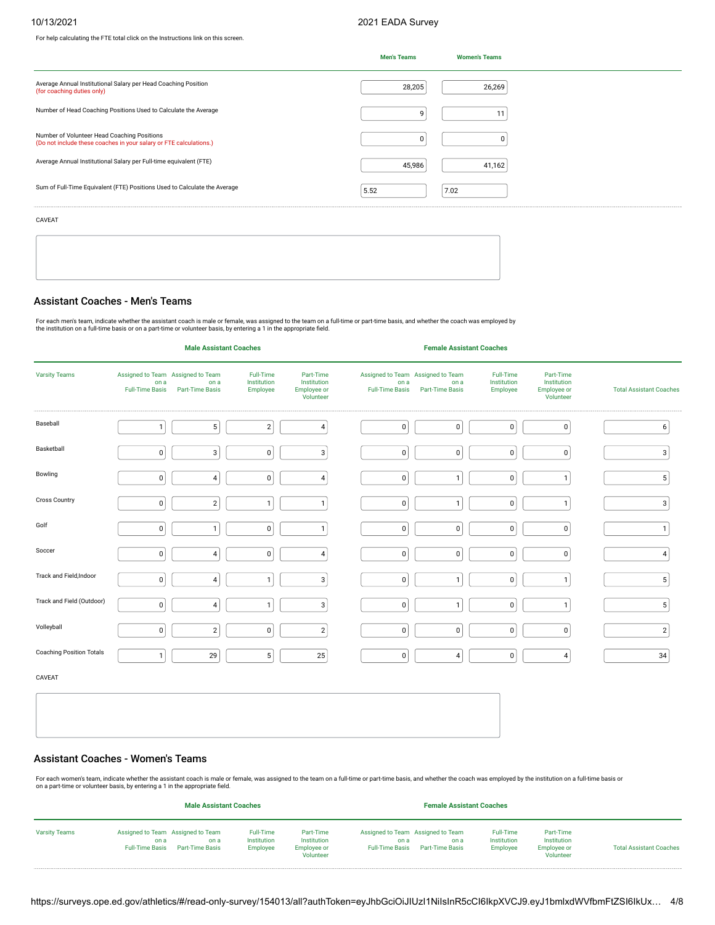For help calculating the FTE total click on the Instructions link on this screen.

## 10/13/2021 2021 EADA Survey

|                                                                                                                   | <b>Men's Teams</b> | <b>Women's Teams</b> |  |
|-------------------------------------------------------------------------------------------------------------------|--------------------|----------------------|--|
| Average Annual Institutional Salary per Head Coaching Position<br>(for coaching duties only)                      | 28,205             | 26,269               |  |
| Number of Head Coaching Positions Used to Calculate the Average                                                   | 9                  |                      |  |
| Number of Volunteer Head Coaching Positions<br>(Do not include these coaches in your salary or FTE calculations.) | 0                  |                      |  |
| Average Annual Institutional Salary per Full-time equivalent (FTE)                                                | 45,986             | 41,162               |  |
| Sum of Full-Time Equivalent (FTE) Positions Used to Calculate the Average                                         | 5.52               | 7.02                 |  |

CAVEAT

## Assistant Coaches - Men's Teams

For each men's team, indicate whether the assistant coach is male or female, was assigned to the team on a full-time or part-time basis, and whether the coach was employed by<br>the institution on a full-time basis or on a pa

|                                 |                                | <b>Male Assistant Coaches</b>                                |                                      |                                                      |                                | <b>Female Assistant Coaches</b>                              |                                      |                                                      |                                |
|---------------------------------|--------------------------------|--------------------------------------------------------------|--------------------------------------|------------------------------------------------------|--------------------------------|--------------------------------------------------------------|--------------------------------------|------------------------------------------------------|--------------------------------|
| <b>Varsity Teams</b>            | on a<br><b>Full-Time Basis</b> | Assigned to Team Assigned to Team<br>on a<br>Part-Time Basis | Full-Time<br>Institution<br>Employee | Part-Time<br>Institution<br>Employee or<br>Volunteer | on a<br><b>Full-Time Basis</b> | Assigned to Team Assigned to Team<br>on a<br>Part-Time Basis | Full-Time<br>Institution<br>Employee | Part-Time<br>Institution<br>Employee or<br>Volunteer | <b>Total Assistant Coaches</b> |
| Baseball                        | $\mathbf{1}$                   | 5 <sup>1</sup>                                               | $\sqrt{2}$                           | $\sqrt{4}$                                           | $\pmb{0}$                      | $\mathbf 0$                                                  | 0                                    | $\mathbf 0$                                          | $\boldsymbol{6}$               |
| Basketball                      | $\mathbf 0$                    | 3                                                            | $\pmb{0}$                            | 3                                                    | $\pmb{0}$                      | $\mathbf 0$                                                  | 0                                    | $\mathbf 0$                                          | 3                              |
| Bowling                         | $\pmb{0}$                      | $\overline{4}$                                               | $\pmb{0}$                            | $\overline{4}$                                       | $\pmb{0}$                      | 1                                                            | 0                                    | $\mathbf{1}$                                         | $\mathbf 5$                    |
| <b>Cross Country</b>            | $\mathbf 0$                    | $\overline{2}$                                               | $\mathbf{1}$                         | $\mathbf{1}$                                         | $\pmb{0}$                      | $\mathbf{1}$                                                 | 0                                    | $\mathbf{1}$                                         | 3                              |
| Golf                            | $\mathbf 0$                    | $\mathbf{1}$                                                 | $\pmb{0}$                            | $\mathbf{1}$                                         | $\pmb{0}$                      | 0                                                            | 0                                    | $\mathbf 0$                                          | $\mathbf{1}$                   |
| Soccer                          | 0                              | $\vert$ 4                                                    | $\pmb{0}$                            | $\overline{4}$                                       | $\pmb{0}$                      | $\mathbf 0$                                                  | $\mathsf 0$                          | $\mathbf 0$                                          | $\overline{4}$                 |
| Track and Field, Indoor         | $\pmb{0}$                      | $\overline{4}$                                               | $\mathbf{1}$                         | 3                                                    | $\pmb{0}$                      | $\mathbf{1}$                                                 | 0                                    | $\mathbf{1}$                                         | 5                              |
| Track and Field (Outdoor)       | $\mathbf 0$                    | 4                                                            | $\mathbf{1}$                         | 3                                                    | $\pmb{0}$                      | $\mathbf{1}$                                                 | 0                                    | $\mathbf{1}$                                         | $\mathbf 5$                    |
| Volleyball                      | $\mathbf 0$                    | $\overline{2}$                                               | $\pmb{0}$                            | $\overline{2}$                                       | $\mathbf 0$                    | $\mathbf 0$                                                  | 0                                    | $\pmb{0}$                                            | $\sqrt{2}$                     |
| <b>Coaching Position Totals</b> | $\mathbf{1}$                   | 29                                                           | $\sqrt{5}$                           | 25                                                   | $\pmb{0}$                      | 4                                                            | 0                                    | $\overline{4}$                                       | 34                             |
| CAVEAT                          |                                |                                                              |                                      |                                                      |                                |                                                              |                                      |                                                      |                                |
|                                 |                                |                                                              |                                      |                                                      |                                |                                                              |                                      |                                                      |                                |
|                                 |                                |                                                              |                                      |                                                      |                                |                                                              |                                      |                                                      |                                |

## Assistant Coaches - Women's Teams

For each women's team, indicate whether the assistant coach is male or female, was assigned to the team on a full-time or part-time basis, and whether the coach was employed by the institution on a full-time basis or<br>on a

|                      | <b>Male Assistant Coaches</b>  |                                                              |                                      |                                                             | <b>Female Assistant Coaches</b> |                                                                     |                                             |                                                             |                                |
|----------------------|--------------------------------|--------------------------------------------------------------|--------------------------------------|-------------------------------------------------------------|---------------------------------|---------------------------------------------------------------------|---------------------------------------------|-------------------------------------------------------------|--------------------------------|
| <b>Varsity Teams</b> | on a<br><b>Full-Time Basis</b> | Assigned to Team Assigned to Team<br>on a<br>Part-Time Basis | Full-Time<br>Institution<br>Employee | Part-Time<br>Institution<br><b>Employee or</b><br>Volunteer | on a<br><b>Full-Time Basis</b>  | Assigned to Team Assigned to Team<br>on a<br><b>Part-Time Basis</b> | <b>Full-Time</b><br>Institution<br>Employee | Part-Time<br>Institution<br><b>Employee or</b><br>Volunteer | <b>Total Assistant Coaches</b> |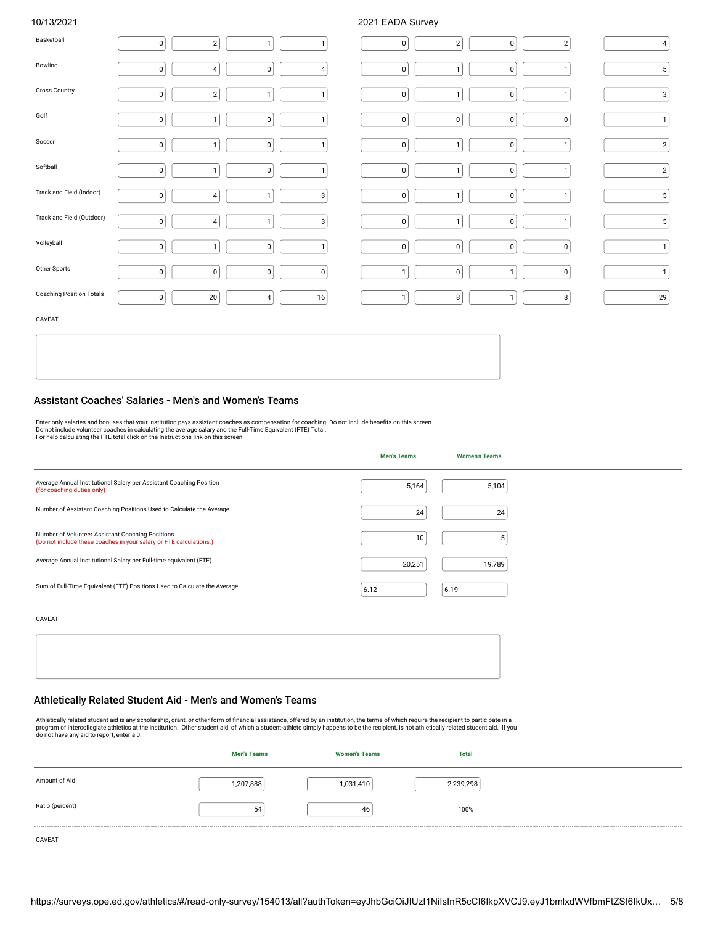## 10/13/2021 2021 EADA Survey

| Basketball                | $\overline{0}$ | 2              | $\mathbf{1}$   | $\mathbf{1}$   | $\overline{0}$ | $\overline{2}$ | 0            | 2              | $\vert$ 4      |
|---------------------------|----------------|----------------|----------------|----------------|----------------|----------------|--------------|----------------|----------------|
| Bowling                   | $\pmb{0}$      | $\vert$ 4      | 0              | $\vert$ 4      | $\overline{0}$ | $\overline{1}$ | 0            | $\mathbf{1}$   | 5 <sup>1</sup> |
| Cross Country             | $\mathbf{0}$   | 2              | $\mathbf{1}$   | $\mathbf{1}$   | $\overline{0}$ | $\mathbf{1}$   | 0            | $\mathbf{1}$   | $3\vert$       |
| Golf                      | $\pmb{0}$      | -1             | $\mathsf 0$    | $\mathbf{1}$   | $\overline{0}$ | $\pmb{0}$      | 0            | 0              | $\mathbf{1}$   |
| Soccer                    | $\overline{0}$ | -1             | 0              | $\mathbf{1}$   | $\overline{0}$ | $\mathbf{1}$   | 0            | $\mathbf{1}$   | $\mathbf{2}$   |
| Softball                  | $\pmb{0}$      | -1             | 0              | $\mathbf{1}$   | $\overline{0}$ | $\mathbf{1}$   | $\pmb{0}$    | $\mathbf{1}$   | $\mathbf{2}$   |
| Track and Field (Indoor)  | $\overline{0}$ | $\overline{4}$ | $\mathbf{1}$   | 3              | $\overline{0}$ | $\mathbf{1}$   | 0            | $\mathbf{1}$   | 5 <sub>5</sub> |
| Track and Field (Outdoor) | $\pmb{0}$      | 4              | $\mathbf{1}$   | $\mathbf{3}$   | $\overline{0}$ | $\mathbf{1}$   | 0            | $\mathbf{1}$   | $\sqrt{5}$     |
| Volleyball                | $\overline{0}$ | -1             | 0              | $\mathbf{1}$   | 0              | $\mathbf 0$    | $\mathsf 0$  | 0              | $\mathbf{1}$   |
| Other Sports              | $\pmb{0}$      | $\overline{0}$ | $\overline{0}$ | $\overline{0}$ | $\mathbf{1}$   | $\mathbf 0$    | $\mathbf{1}$ | 0              | $\mathbf{1}$   |
| Coaching Position Totals  | 0              | 20             | 4              | 16             | $\mathbf{1}$   | 8              | $\mathbf{1}$ | 8 <sup>1</sup> | 29             |
| <b>CAVEAT</b>             |                |                |                |                |                |                |              |                |                |

CAVEAT

#### Assistant Coaches' Salaries - Men's and Women's Teams

Enter only salaries and bonuses that your institution pays assistant coaches as compensation for coaching. Do not include benefits on this screen.<br>Do not include volunteer coaches in calculating the average salary and the

|                                                                                                                        | <b>Men's Teams</b> | <b>Women's Teams</b> |  |
|------------------------------------------------------------------------------------------------------------------------|--------------------|----------------------|--|
| Average Annual Institutional Salary per Assistant Coaching Position<br>(for coaching duties only)                      | 5,164              | 5,104                |  |
| Number of Assistant Coaching Positions Used to Calculate the Average                                                   | 24                 | 24                   |  |
| Number of Volunteer Assistant Coaching Positions<br>(Do not include these coaches in your salary or FTE calculations.) | 10                 |                      |  |
| Average Annual Institutional Salary per Full-time equivalent (FTE)                                                     | 20,251             | 19,789               |  |
| Sum of Full-Time Equivalent (FTE) Positions Used to Calculate the Average                                              | 6.12               | 6.19                 |  |

CAVEAT

|  | ,我们也不能会在这里,我们的人们就会在这里,我们的人们就会在这里,我们的人们就会在这里,我们的人们就会在这里,我们的人们就会在这里,我们的人们就会在这里,我们的 |  |
|--|----------------------------------------------------------------------------------|--|
|  |                                                                                  |  |
|  |                                                                                  |  |
|  |                                                                                  |  |
|  |                                                                                  |  |
|  |                                                                                  |  |
|  |                                                                                  |  |
|  |                                                                                  |  |
|  |                                                                                  |  |
|  |                                                                                  |  |
|  |                                                                                  |  |
|  |                                                                                  |  |
|  |                                                                                  |  |
|  |                                                                                  |  |
|  |                                                                                  |  |

## Athletically Related Student Aid - Men's and Women's Teams

Athletically related student aid is any scholarship, grant, or other form of financial assistance, offered by an institution, the terms of which require the recipient to participate in a<br>program of intercollegiate athletic

|                 | <b>Men's Teams</b> | <b>Women's Teams</b> | <b>Total</b> |  |
|-----------------|--------------------|----------------------|--------------|--|
| Amount of Aid   | 1,207,888          | 1,031,410            | 2,239,298    |  |
| Ratio (percent) | 54                 | 46                   | 100%         |  |

CAVEAT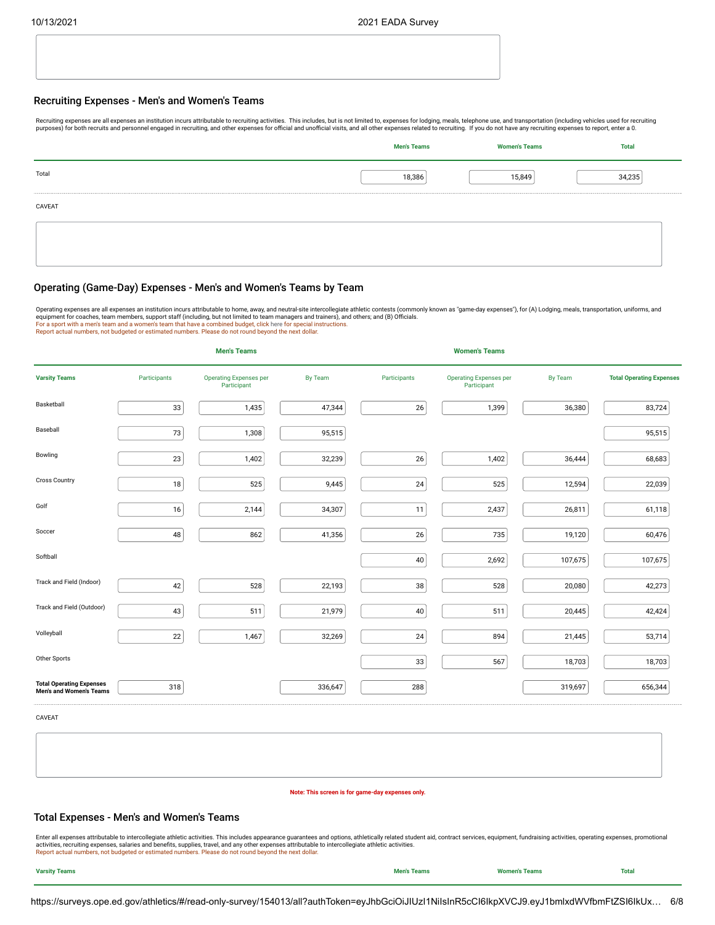#### Recruiting Expenses - Men's and Women's Teams

Recruiting expenses are all expenses an institution incurs attributable to recruiting activities. This includes, but is not limited to, expenses for lodging, meals, telephone use, and transportation (including vehicles use purposes) for both recruits and personnel engaged in recruiting, and other expenses for official and unofficial visits, and all other expenses related to recruiting. If you do not have any recruiting expenses to report, en

|        | <b>Men's Teams</b> | <b>Women's Teams</b> | <b>Total</b> |
|--------|--------------------|----------------------|--------------|
| Total  | 18,386             | 15,849               | 34,235       |
| CAVEAT |                    |                      |              |
|        |                    |                      |              |
|        |                    |                      |              |

## Operating (Game-Day) Expenses - Men's and Women's Teams by Team

Operating expenses are all expenses an institution incurs attributable to home, away, and neutral-site intercollegiate athletic contests (commonly known as "game-day expenses"), for (A) Lodging, meals, transportation, unif Report actual numbers, not budgeted or estimated numbers. Please do not round beyond the next dollar.

|                                                                   |              | <b>Men's Teams</b>                           |         |              | <b>Women's Teams</b>                         |         |                                 |
|-------------------------------------------------------------------|--------------|----------------------------------------------|---------|--------------|----------------------------------------------|---------|---------------------------------|
| <b>Varsity Teams</b>                                              | Participants | <b>Operating Expenses per</b><br>Participant | By Team | Participants | <b>Operating Expenses per</b><br>Participant | By Team | <b>Total Operating Expenses</b> |
| Basketball                                                        | 33           | 1,435                                        | 47,344  | 26           | 1,399                                        | 36,380  | 83,724                          |
| Baseball                                                          | $73\,$       | 1,308                                        | 95,515  |              |                                              |         | 95,515                          |
| Bowling                                                           | 23           | 1,402                                        | 32,239  | 26           | 1,402                                        | 36,444  | 68,683                          |
| <b>Cross Country</b>                                              | 18           | 525                                          | 9,445   | 24           | 525                                          | 12,594  | 22,039                          |
| Golf                                                              | 16           | 2,144                                        | 34,307  | 11           | 2,437                                        | 26,811  | 61,118                          |
| Soccer                                                            | 48           | 862                                          | 41,356  | 26           | 735                                          | 19,120  | 60,476                          |
| Softball                                                          |              |                                              |         | 40           | 2,692                                        | 107,675 | 107,675                         |
| Track and Field (Indoor)                                          | 42           | 528                                          | 22,193  | 38           | 528                                          | 20,080  | 42,273                          |
| Track and Field (Outdoor)                                         | 43           | 511                                          | 21,979  | 40           | 511                                          | 20,445  | 42,424                          |
| Volleyball                                                        | 22           | 1,467                                        | 32,269  | 24           | 894                                          | 21,445  | 53,714                          |
| Other Sports                                                      |              |                                              |         | 33           | 567                                          | 18,703  | 18,703                          |
| <b>Total Operating Expenses</b><br><b>Men's and Women's Teams</b> | 318          |                                              | 336,647 | 288          |                                              | 319,697 | 656,344                         |

CAVEAT

#### **Note: This screen is for game-day expenses only.**

### Total Expenses - Men's and Women's Teams

Enter all expenses attributable to intercollegiate athletic activities. This includes appearance guarantees and options, athletically related student aid, contract services, equipment, fundraising activities, operating exp

| <b>Varsity Teams</b> | <b>Men's Teams</b> | <b>Women's Teams</b> | <b>Total</b> |
|----------------------|--------------------|----------------------|--------------|
|----------------------|--------------------|----------------------|--------------|

https://surveys.ope.ed.gov/athletics/#/read-only-survey/154013/all?authToken=eyJhbGciOiJIUzI1NiIsInR5cCI6IkpXVCJ9.eyJ1bmlxdWVfbmFtZSI6IkUx… 6/8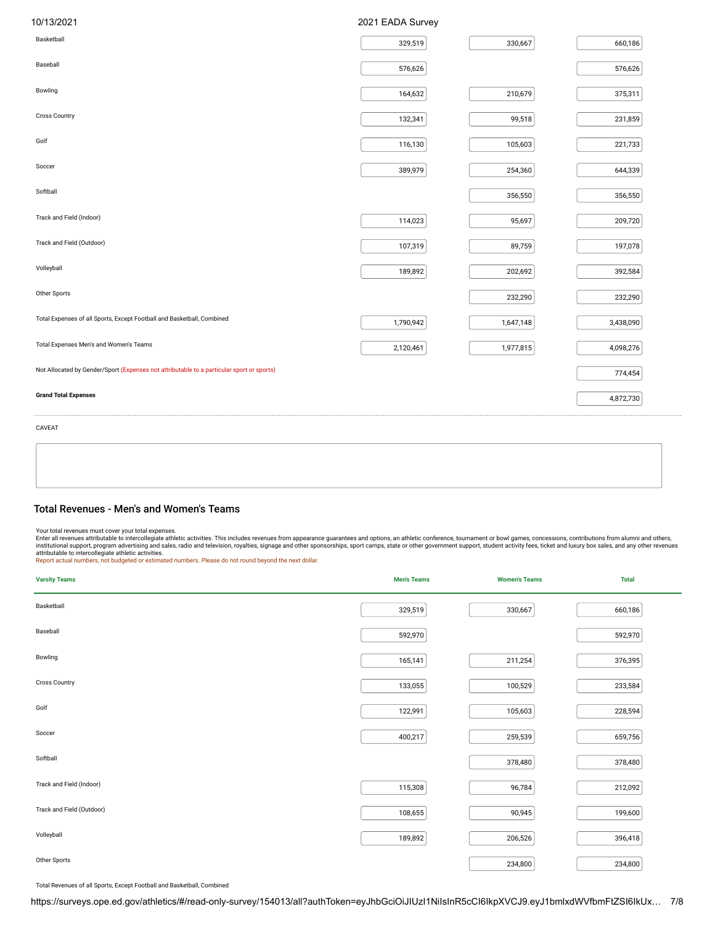| 10/13/2021                                                                                | 2021 EADA Survey |           |           |
|-------------------------------------------------------------------------------------------|------------------|-----------|-----------|
| Basketball                                                                                | 329,519          | 330,667   | 660,186   |
| Baseball                                                                                  | 576,626          |           | 576,626   |
| Bowling                                                                                   | 164,632          | 210,679   | 375,311   |
| <b>Cross Country</b>                                                                      | 132,341          | 99,518    | 231,859   |
| Golf                                                                                      | 116,130          | 105,603   | 221,733   |
| Soccer                                                                                    | 389,979          | 254,360   | 644,339   |
| Softball                                                                                  |                  | 356,550   | 356,550   |
| Track and Field (Indoor)                                                                  | 114,023          | 95,697    | 209,720   |
| Track and Field (Outdoor)                                                                 | 107,319          | 89,759    | 197,078   |
| Volleyball                                                                                | 189,892          | 202,692   | 392,584   |
| Other Sports                                                                              |                  | 232,290   | 232,290   |
| Total Expenses of all Sports, Except Football and Basketball, Combined                    | 1,790,942        | 1,647,148 | 3,438,090 |
| Total Expenses Men's and Women's Teams                                                    | 2,120,461        | 1,977,815 | 4,098,276 |
| Not Allocated by Gender/Sport (Expenses not attributable to a particular sport or sports) |                  |           | 774,454   |
| <b>Grand Total Expenses</b>                                                               |                  |           | 4,872,730 |
| CAVEAT                                                                                    |                  |           |           |

### Total Revenues - Men's and Women's Teams

Your total revenues must cover your total expenses.<br>Enter all revenues must cover your total expenses. This includes revenues from appearance guarantees and options, an athletic conference, tournament or bowl games, conces

| <b>Varsity Teams</b>      | <b>Men's Teams</b> | <b>Women's Teams</b> | <b>Total</b> |
|---------------------------|--------------------|----------------------|--------------|
| Basketball                | 329,519            | 330,667              | 660,186      |
| Baseball                  | 592,970            |                      | 592,970      |
| Bowling                   | 165,141            | 211,254              | 376,395      |
| Cross Country             | 133,055            | 100,529              | 233,584      |
| Golf                      | 122,991            | 105,603              | 228,594      |
| Soccer                    | 400,217            | 259,539              | 659,756      |
| Softball                  |                    | 378,480              | 378,480      |
| Track and Field (Indoor)  | 115,308            | 96,784               | 212,092      |
| Track and Field (Outdoor) | 108,655            | 90,945               | 199,600      |
| Volleyball                | 189,892            | 206,526              | 396,418      |
| Other Sports              |                    | 234,800              | 234,800      |

Total Revenues of all Sports, Except Football and Basketball, Combined